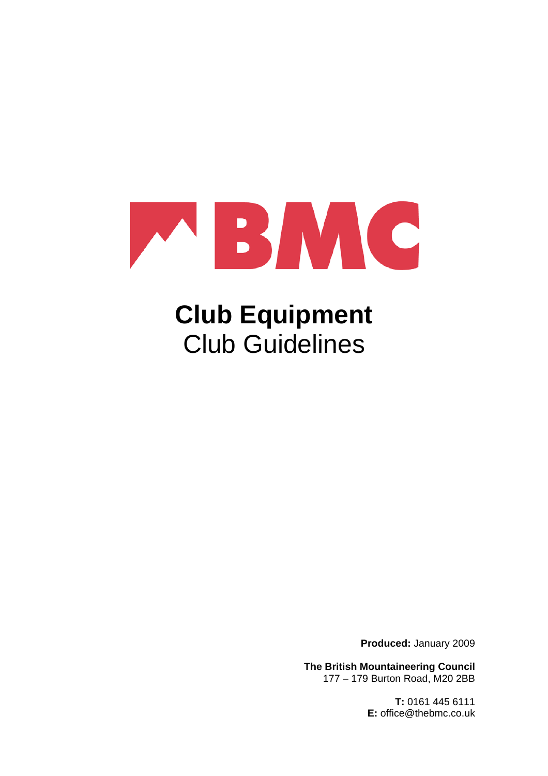

# **Club Equipment**  Club Guidelines

**Produced:** January 2009

**The British Mountaineering Council**  177 – 179 Burton Road, M20 2BB

> **T:** 0161 445 6111 **E:** office@thebmc.co.uk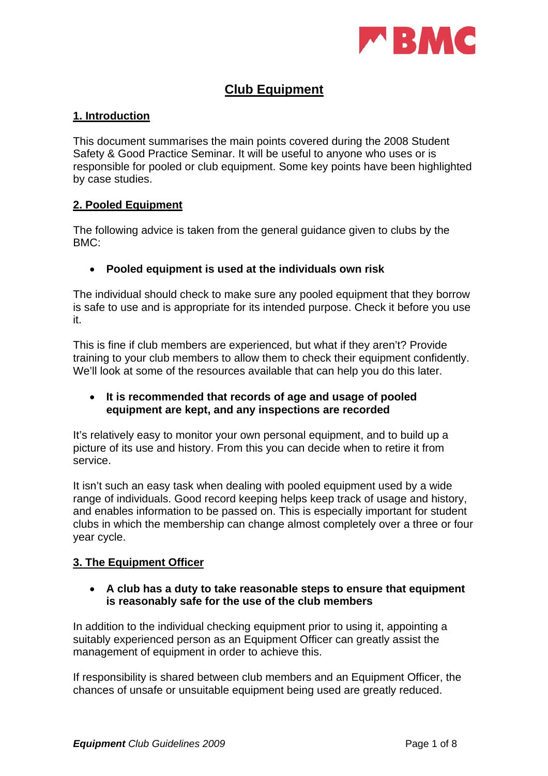

## **Club Equipment**

## **1. Introduction**

This document summarises the main points covered during the 2008 Student Safety & Good Practice Seminar. It will be useful to anyone who uses or is responsible for pooled or club equipment. Some key points have been highlighted by case studies.

## **2. Pooled Equipment**

The following advice is taken from the general guidance given to clubs by the BMC:

## • **Pooled equipment is used at the individuals own risk**

The individual should check to make sure any pooled equipment that they borrow is safe to use and is appropriate for its intended purpose. Check it before you use it.

This is fine if club members are experienced, but what if they aren't? Provide training to your club members to allow them to check their equipment confidently. We'll look at some of the resources available that can help you do this later.

## • **It is recommended that records of age and usage of pooled equipment are kept, and any inspections are recorded**

It's relatively easy to monitor your own personal equipment, and to build up a picture of its use and history. From this you can decide when to retire it from service.

It isn't such an easy task when dealing with pooled equipment used by a wide range of individuals. Good record keeping helps keep track of usage and history, and enables information to be passed on. This is especially important for student clubs in which the membership can change almost completely over a three or four year cycle.

## **3. The Equipment Officer**

## • **A club has a duty to take reasonable steps to ensure that equipment is reasonably safe for the use of the club members**

In addition to the individual checking equipment prior to using it, appointing a suitably experienced person as an Equipment Officer can greatly assist the management of equipment in order to achieve this.

If responsibility is shared between club members and an Equipment Officer, the chances of unsafe or unsuitable equipment being used are greatly reduced.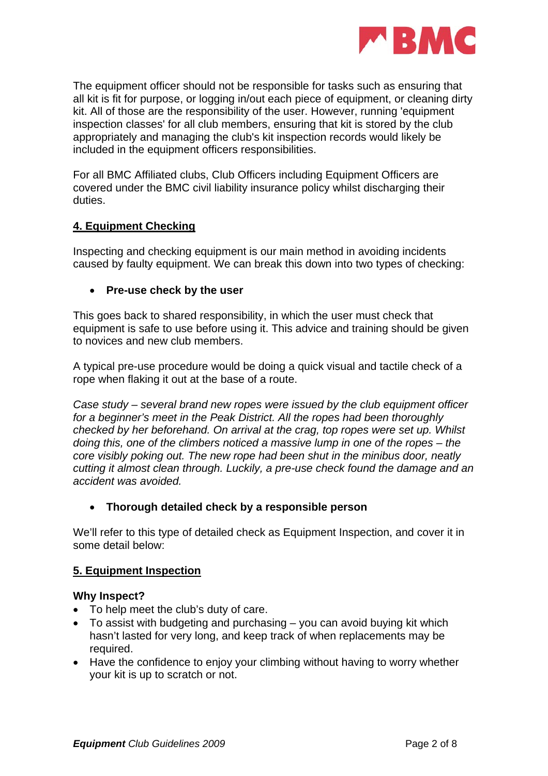

The equipment officer should not be responsible for tasks such as ensuring that all kit is fit for purpose, or logging in/out each piece of equipment, or cleaning dirty kit. All of those are the responsibility of the user. However, running 'equipment inspection classes' for all club members, ensuring that kit is stored by the club appropriately and managing the club's kit inspection records would likely be included in the equipment officers responsibilities.

For all BMC Affiliated clubs, Club Officers including Equipment Officers are covered under the BMC civil liability insurance policy whilst discharging their duties.

## **4. Equipment Checking**

Inspecting and checking equipment is our main method in avoiding incidents caused by faulty equipment. We can break this down into two types of checking:

## • **Pre-use check by the user**

This goes back to shared responsibility, in which the user must check that equipment is safe to use before using it. This advice and training should be given to novices and new club members.

A typical pre-use procedure would be doing a quick visual and tactile check of a rope when flaking it out at the base of a route.

*Case study – several brand new ropes were issued by the club equipment officer for a beginner's meet in the Peak District. All the ropes had been thoroughly checked by her beforehand. On arrival at the crag, top ropes were set up. Whilst doing this, one of the climbers noticed a massive lump in one of the ropes – the core visibly poking out. The new rope had been shut in the minibus door, neatly cutting it almost clean through. Luckily, a pre-use check found the damage and an accident was avoided.* 

## • **Thorough detailed check by a responsible person**

We'll refer to this type of detailed check as Equipment Inspection, and cover it in some detail below:

## **5. Equipment Inspection**

#### **Why Inspect?**

- To help meet the club's duty of care.
- To assist with budgeting and purchasing you can avoid buying kit which hasn't lasted for very long, and keep track of when replacements may be required.
- Have the confidence to enjoy your climbing without having to worry whether your kit is up to scratch or not.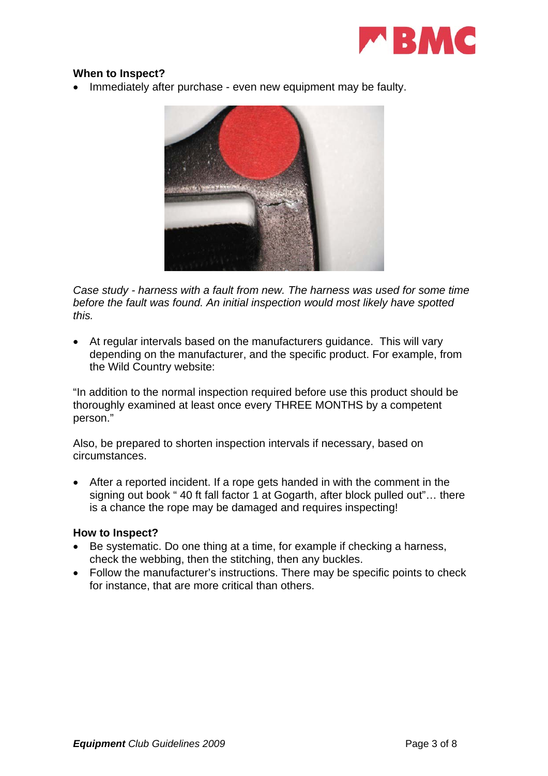

## **When to Inspect?**

• Immediately after purchase - even new equipment may be faulty.



*Case study - harness with a fault from new. The harness was used for some time before the fault was found. An initial inspection would most likely have spotted this.* 

• At regular intervals based on the manufacturers guidance. This will vary depending on the manufacturer, and the specific product. For example, from the Wild Country website:

"In addition to the normal inspection required before use this product should be thoroughly examined at least once every THREE MONTHS by a competent person."

Also, be prepared to shorten inspection intervals if necessary, based on circumstances.

• After a reported incident. If a rope gets handed in with the comment in the signing out book " 40 ft fall factor 1 at Gogarth, after block pulled out"… there is a chance the rope may be damaged and requires inspecting!

#### **How to Inspect?**

- Be systematic. Do one thing at a time, for example if checking a harness, check the webbing, then the stitching, then any buckles.
- Follow the manufacturer's instructions. There may be specific points to check for instance, that are more critical than others.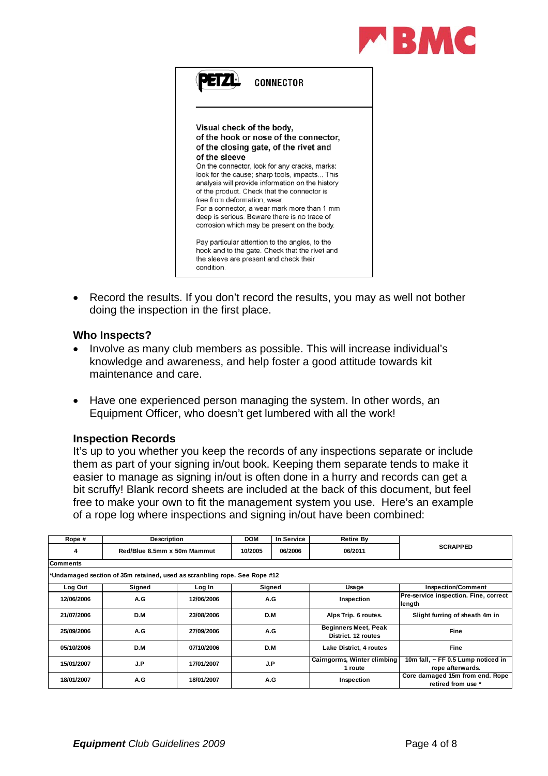



Record the results. If you don't record the results, you may as well not bother doing the inspection in the first place.

#### **Who Inspects?**

- Involve as many club members as possible. This will increase individual's knowledge and awareness, and help foster a good attitude towards kit maintenance and care.
- Have one experienced person managing the system. In other words, an Equipment Officer, who doesn't get lumbered with all the work!

#### **Inspection Records**

It's up to you whether you keep the records of any inspections separate or include them as part of your signing in/out book. Keeping them separate tends to make it easier to manage as signing in/out is often done in a hurry and records can get a bit scruffy! Blank record sheets are included at the back of this document, but feel free to make your own to fit the management system you use. Here's an example of a rope log where inspections and signing in/out have been combined:

| Rope #                                                                    | <b>Description</b>          |            | <b>DOM</b>         | In Service | <b>Retire By</b>                                   |                                                       |  |  |
|---------------------------------------------------------------------------|-----------------------------|------------|--------------------|------------|----------------------------------------------------|-------------------------------------------------------|--|--|
| 4                                                                         | Red/Blue 8.5mm x 50m Mammut |            | 10/2005<br>06/2006 |            | 06/2011                                            | <b>SCRAPPED</b>                                       |  |  |
| <b>Comments</b>                                                           |                             |            |                    |            |                                                    |                                                       |  |  |
| *Undamaged section of 35m retained, used as scranbling rope. See Rope #12 |                             |            |                    |            |                                                    |                                                       |  |  |
| Log Out                                                                   | Signed                      | Log In     | Signed             |            | Usage                                              | <b>Inspection/Comment</b>                             |  |  |
| 12/06/2006                                                                | A.G                         | 12/06/2006 | A.G                |            | Inspection                                         | Pre-service inspection. Fine, correct<br> length      |  |  |
| 21/07/2006                                                                | D.M                         | 23/08/2006 | D.M                |            | Alps Trip. 6 routes.                               | Slight furring of sheath 4m in                        |  |  |
| 25/09/2006                                                                | A.G                         | 27/09/2006 | A.G                |            | <b>Beginners Meet, Peak</b><br>District, 12 routes | Fine                                                  |  |  |
| 05/10/2006                                                                | D.M                         | 07/10/2006 | D.M                |            | Lake District, 4 routes                            | <b>Fine</b>                                           |  |  |
| 15/01/2007                                                                | J.P                         | 17/01/2007 | J.P                |            | Cairngorms, Winter climbing                        | 10m fall, ~ FF 0.5 Lump noticed in                    |  |  |
|                                                                           |                             |            |                    |            | 1 route                                            | rope afterwards.                                      |  |  |
| 18/01/2007                                                                | A.G                         | 18/01/2007 |                    | A.G        | Inspection                                         | Core damaged 15m from end. Rope<br>retired from use * |  |  |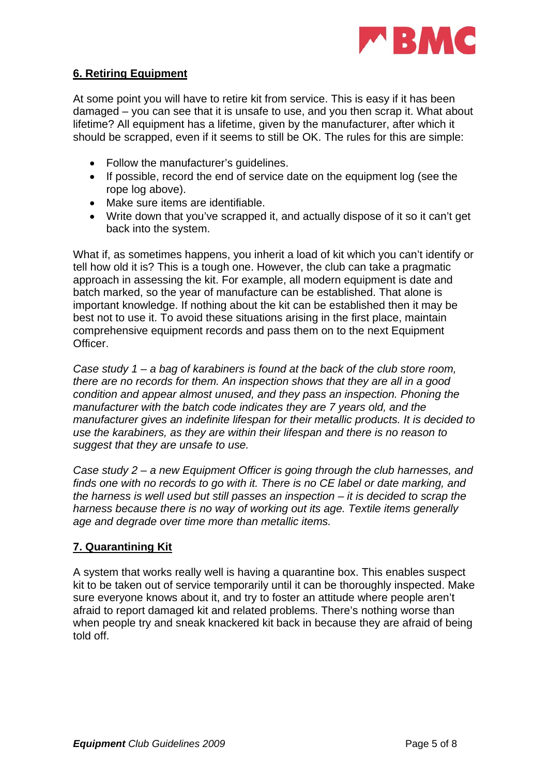

## **6. Retiring Equipment**

At some point you will have to retire kit from service. This is easy if it has been damaged – you can see that it is unsafe to use, and you then scrap it. What about lifetime? All equipment has a lifetime, given by the manufacturer, after which it should be scrapped, even if it seems to still be OK. The rules for this are simple:

- Follow the manufacturer's guidelines.
- If possible, record the end of service date on the equipment log (see the rope log above).
- Make sure items are identifiable.
- Write down that you've scrapped it, and actually dispose of it so it can't get back into the system.

What if, as sometimes happens, you inherit a load of kit which you can't identify or tell how old it is? This is a tough one. However, the club can take a pragmatic approach in assessing the kit. For example, all modern equipment is date and batch marked, so the year of manufacture can be established. That alone is important knowledge. If nothing about the kit can be established then it may be best not to use it. To avoid these situations arising in the first place, maintain comprehensive equipment records and pass them on to the next Equipment **Officer** 

*Case study 1 – a bag of karabiners is found at the back of the club store room, there are no records for them. An inspection shows that they are all in a good condition and appear almost unused, and they pass an inspection. Phoning the manufacturer with the batch code indicates they are 7 years old, and the manufacturer gives an indefinite lifespan for their metallic products. It is decided to use the karabiners, as they are within their lifespan and there is no reason to suggest that they are unsafe to use.* 

*Case study 2 – a new Equipment Officer is going through the club harnesses, and finds one with no records to go with it. There is no CE label or date marking, and the harness is well used but still passes an inspection – it is decided to scrap the harness because there is no way of working out its age. Textile items generally age and degrade over time more than metallic items.* 

## **7. Quarantining Kit**

A system that works really well is having a quarantine box. This enables suspect kit to be taken out of service temporarily until it can be thoroughly inspected. Make sure everyone knows about it, and try to foster an attitude where people aren't afraid to report damaged kit and related problems. There's nothing worse than when people try and sneak knackered kit back in because they are afraid of being told off.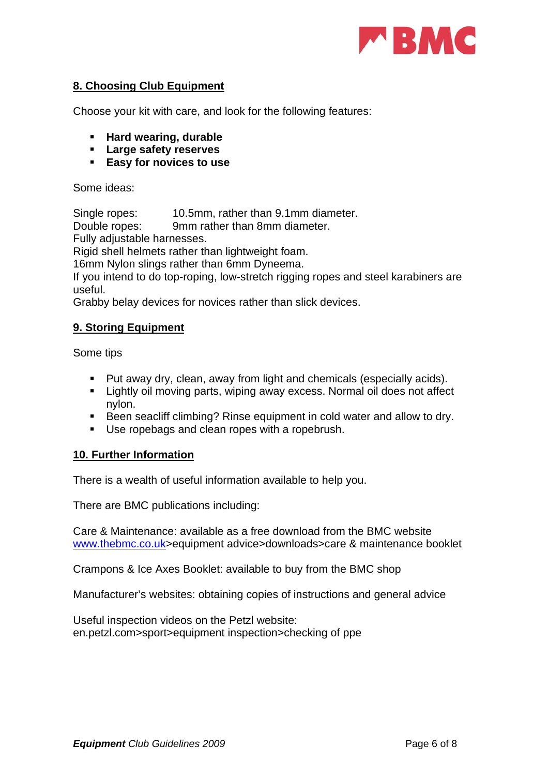

## **8. Choosing Club Equipment**

Choose your kit with care, and look for the following features:

- **Hard wearing, durable**
- **Large safety reserves**
- **Easy for novices to use**

Some ideas:

Single ropes: 10.5mm, rather than 9.1mm diameter.

Double ropes: 9mm rather than 8mm diameter.

Fully adjustable harnesses.

Rigid shell helmets rather than lightweight foam.

16mm Nylon slings rather than 6mm Dyneema.

If you intend to do top-roping, low-stretch rigging ropes and steel karabiners are useful.

Grabby belay devices for novices rather than slick devices.

## **9. Storing Equipment**

Some tips

- **Put away dry, clean, away from light and chemicals (especially acids).**
- **Example 1** Lightly oil moving parts, wiping away excess. Normal oil does not affect nylon.
- Been seacliff climbing? Rinse equipment in cold water and allow to dry.
- Use ropebags and clean ropes with a ropebrush.

## **10. Further Information**

There is a wealth of useful information available to help you.

There are BMC publications including:

Care & Maintenance: available as a free download from the BMC website [www.thebmc.co.uk](http://www.thebmc.co.uk/)>equipment advice>downloads>care & maintenance booklet

Crampons & Ice Axes Booklet: available to buy from the BMC shop

Manufacturer's websites: obtaining copies of instructions and general advice

Useful inspection videos on the Petzl website: en.petzl.com>sport>equipment inspection>checking of ppe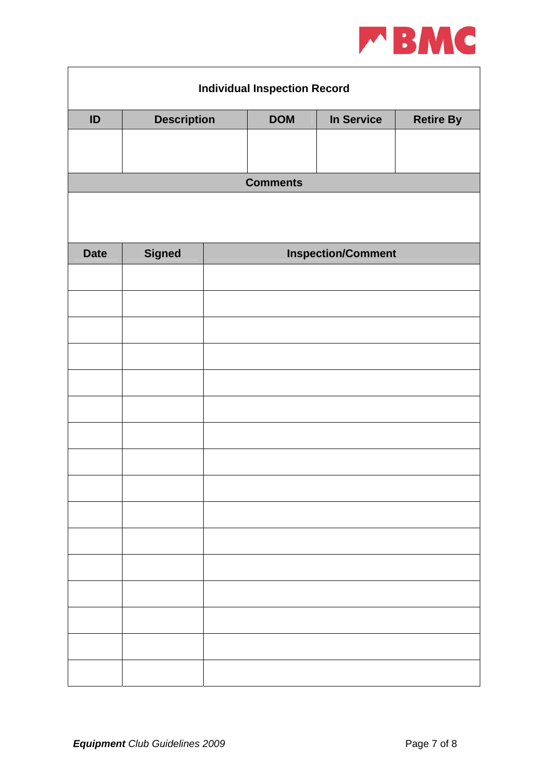

| <b>Individual Inspection Record</b> |                    |                           |                 |            |                  |  |  |  |
|-------------------------------------|--------------------|---------------------------|-----------------|------------|------------------|--|--|--|
| $\mathsf{ID}$                       | <b>Description</b> |                           | <b>DOM</b>      | In Service | <b>Retire By</b> |  |  |  |
|                                     |                    |                           |                 |            |                  |  |  |  |
|                                     |                    |                           | <b>Comments</b> |            |                  |  |  |  |
|                                     |                    |                           |                 |            |                  |  |  |  |
| <b>Date</b>                         | <b>Signed</b>      | <b>Inspection/Comment</b> |                 |            |                  |  |  |  |
|                                     |                    |                           |                 |            |                  |  |  |  |
|                                     |                    |                           |                 |            |                  |  |  |  |
|                                     |                    |                           |                 |            |                  |  |  |  |
|                                     |                    |                           |                 |            |                  |  |  |  |
|                                     |                    |                           |                 |            |                  |  |  |  |
|                                     |                    |                           |                 |            |                  |  |  |  |
|                                     |                    |                           |                 |            |                  |  |  |  |
|                                     |                    |                           |                 |            |                  |  |  |  |
|                                     |                    |                           |                 |            |                  |  |  |  |
|                                     |                    |                           |                 |            |                  |  |  |  |
|                                     |                    |                           |                 |            |                  |  |  |  |
|                                     |                    |                           |                 |            |                  |  |  |  |
|                                     |                    |                           |                 |            |                  |  |  |  |
|                                     |                    |                           |                 |            |                  |  |  |  |
|                                     |                    |                           |                 |            |                  |  |  |  |
|                                     |                    |                           |                 |            |                  |  |  |  |